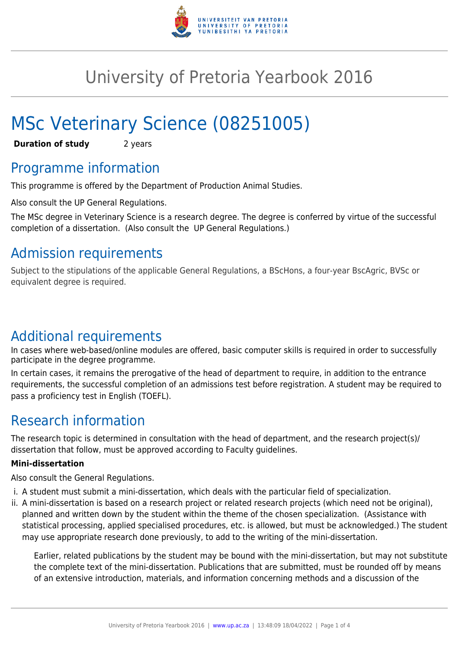

# University of Pretoria Yearbook 2016

# MSc Veterinary Science (08251005)

**Duration of study** 2 years

### Programme information

This programme is offered by the Department of Production Animal Studies.

Also consult the UP General Regulations.

The MSc degree in Veterinary Science is a research degree. The degree is conferred by virtue of the successful completion of a dissertation. (Also consult the UP General Regulations.)

## Admission requirements

Subject to the stipulations of the applicable General Regulations, a BScHons, a four-year BscAgric, BVSc or equivalent degree is required.

### Additional requirements

In cases where web-based/online modules are offered, basic computer skills is required in order to successfully participate in the degree programme.

In certain cases, it remains the prerogative of the head of department to require, in addition to the entrance requirements, the successful completion of an admissions test before registration. A student may be required to pass a proficiency test in English (TOEFL).

### Research information

The research topic is determined in consultation with the head of department, and the research project(s)/ dissertation that follow, must be approved according to Faculty guidelines.

#### **Mini-dissertation**

Also consult the General Regulations.

- i. A student must submit a mini-dissertation, which deals with the particular field of specialization.
- ii. A mini-dissertation is based on a research project or related research projects (which need not be original), planned and written down by the student within the theme of the chosen specialization. (Assistance with statistical processing, applied specialised procedures, etc. is allowed, but must be acknowledged.) The student may use appropriate research done previously, to add to the writing of the mini-dissertation.

Earlier, related publications by the student may be bound with the mini-dissertation, but may not substitute the complete text of the mini-dissertation. Publications that are submitted, must be rounded off by means of an extensive introduction, materials, and information concerning methods and a discussion of the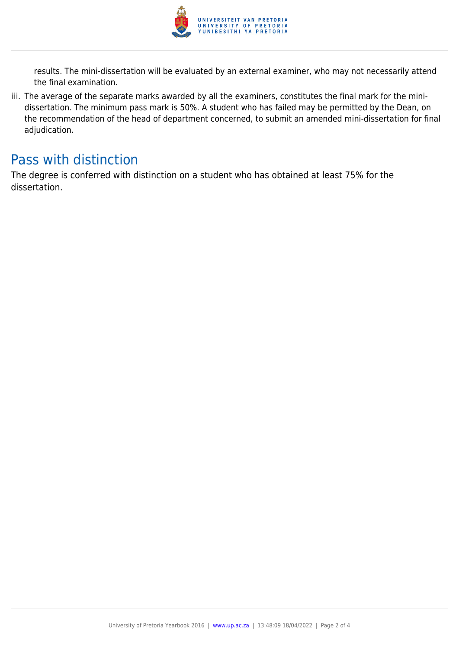

results. The mini-dissertation will be evaluated by an external examiner, who may not necessarily attend the final examination.

iii. The average of the separate marks awarded by all the examiners, constitutes the final mark for the minidissertation. The minimum pass mark is 50%. A student who has failed may be permitted by the Dean, on the recommendation of the head of department concerned, to submit an amended mini-dissertation for final adjudication.

### Pass with distinction

The degree is conferred with distinction on a student who has obtained at least 75% for the dissertation.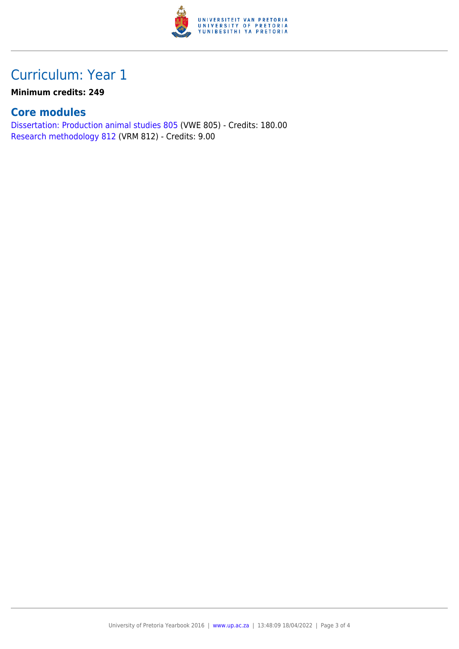

## Curriculum: Year 1

**Minimum credits: 249**

### **Core modules**

[Dissertation: Production animal studies 805](https://www.up.ac.za/mechanical-and-aeronautical-engineering/yearbooks/2016/modules/view/VWE 805) (VWE 805) - Credits: 180.00 [Research methodology 812](https://www.up.ac.za/mechanical-and-aeronautical-engineering/yearbooks/2016/modules/view/VRM 812) (VRM 812) - Credits: 9.00